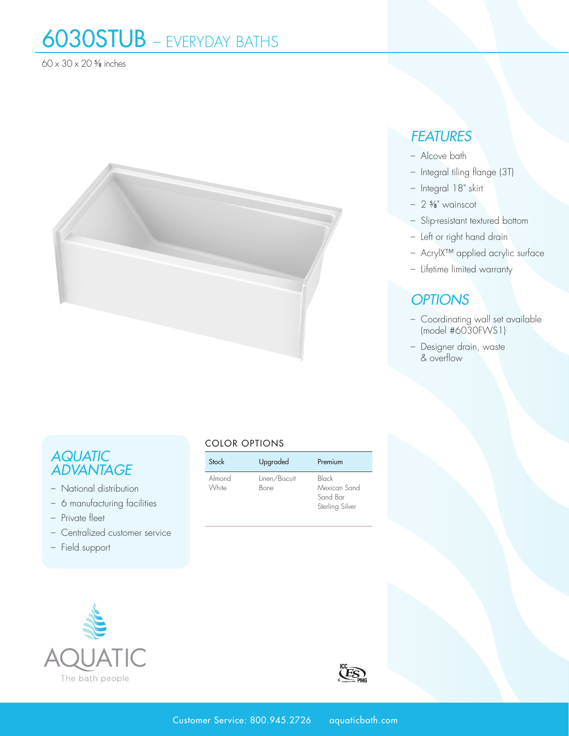# 6030STUB – EVERYDAY BATHS

60 x 30 x 20 5⁄8 inches



### *AQUATIC ADVANTAGE*

- National distribution
- 6 manufacturing facilities
- Private fleet
- Centralized customer service
- Field support

### COLOR OPTIONS

| Stock           | Upgraded              | Premium                                              |
|-----------------|-----------------------|------------------------------------------------------|
| Almond<br>White | Linen/Biscuit<br>Bone | Black<br>Mexican Sand<br>Sand Bar<br>Sterling Silver |





## *FEATURES*

- Alcove bath
- Integral tiling flange (3T)
- Integral 18" skirt
- 2 5⁄8" wainscot
- Slip-resistant textured bottom
- Left or right hand drain
- AcrylX™ applied acrylic surface
- Lifetime limited warranty

### *OPTIONS*

- Coordinating wall set available (model #6030FWS1)
- Designer drain, waste & overflow